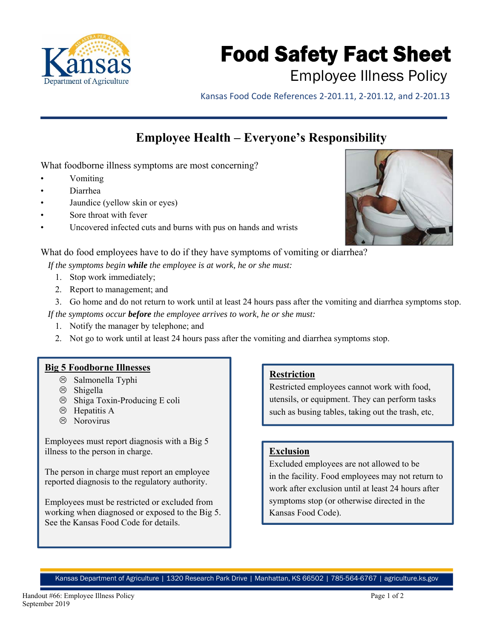

# Food Safety Fact Sheet

## Employee Illness Policy

Kansas Food Code References 2‐201.11, 2‐201.12, and 2‐201.13

## **Employee Health – Everyone's Responsibility**

What foodborne illness symptoms are most concerning?

- Vomiting
- Diarrhea
- Jaundice (yellow skin or eyes)
- Sore throat with fever
- Uncovered infected cuts and burns with pus on hands and wrists



What do food employees have to do if they have symptoms of vomiting or diarrhea?

*If the symptoms begin while the employee is at work, he or she must:* 

- 1. Stop work immediately;
- 2. Report to management; and
- 3. Go home and do not return to work until at least 24 hours pass after the vomiting and diarrhea symptoms stop.

*If the symptoms occur before the employee arrives to work, he or she must:* 

- 1. Notify the manager by telephone; and
- 2. Not go to work until at least 24 hours pass after the vomiting and diarrhea symptoms stop.

#### **Big 5 Foodborne Illnesses**

- $\otimes$  Salmonella Typhi
- $\circledcirc$  Shigella
- $\circledR$  Shiga Toxin-Producing E coli
- $\odot$  Hepatitis A
- $\otimes$  Norovirus

Employees must report diagnosis with a Big 5 illness to the person in charge.

The person in charge must report an employee reported diagnosis to the regulatory authority.

Employees must be restricted or excluded from working when diagnosed or exposed to the Big 5. See the Kansas Food Code for details.

#### **Restriction**

Restricted employees cannot work with food, utensils, or equipment. They can perform tasks such as busing tables, taking out the trash, etc.

#### **Exclusion**

Excluded employees are not allowed to be in the facility. Food employees may not return to work after exclusion until at least 24 hours after symptoms stop (or otherwise directed in the Kansas Food Code).

Kansas Department of Agriculture | 1320 Research Park Drive | Manhattan, KS 66502 | 785-564-6767 | agriculture.ks.gov